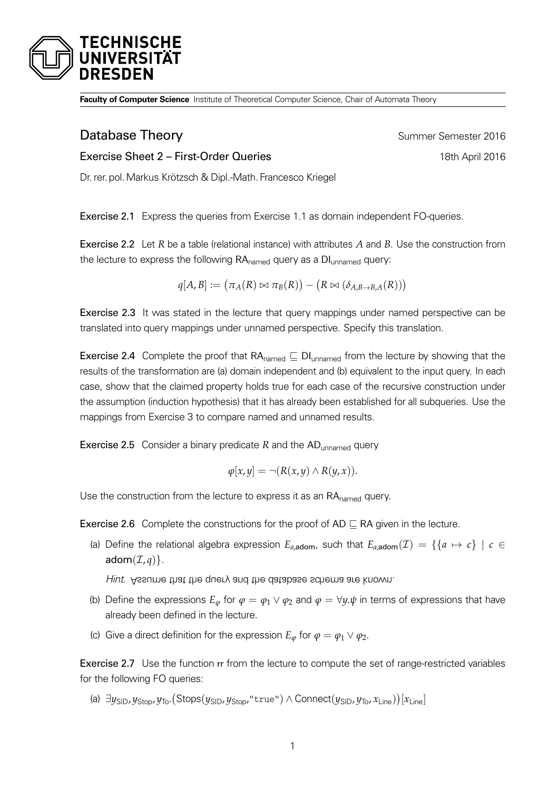

**Faculty of Computer Science** Institute of Theoretical Computer Science, Chair of Automata Theory

## **Database Theory Summer Semester 2016**

Exercise Sheet 2 – First-Order Queries 18th April 2016

Dr. rer. pol.Markus Krötzsch & Dipl.-Math. Francesco Kriegel

Exercise 2.1 Express the queries from Exercise 1.1 as domain independent FO-queries.

Exercise 2.2 Let *R* be a table (relational instance) with attributes *A* and *B*. Use the construction from the lecture to express the following  $RA_{\text{named}}$  query as a  $DI_{\text{unnamed}}$  query:

$$
q[A, B] := (\pi_A(R) \bowtie \pi_B(R)) - (R \bowtie (\delta_{A,B \to B,A}(R)))
$$

<span id="page-0-0"></span>Exercise 2.3 It was stated in the lecture that query mappings under named perspective can be translated into query mappings under unnamed perspective. Specify this translation.

**Exercise 2.4** Complete the proof that RA<sub>named</sub>  $\subseteq$  DI<sub>unnamed</sub> from the lecture by showing that the results of the transformation are (a) domain independent and (b) equivalent to the input query. In each case, show that the claimed property holds true for each case of the recursive construction under the assumption (induction hypothesis) that it has already been established for all subqueries. Use the mappings from Exercise [3](#page-0-0) to compare named and unnamed results.

Exercise 2.5 Consider a binary predicate *R* and the AD<sub>unnamed</sub> query

$$
\varphi[x,y] = \neg (R(x,y) \land R(y,x)).
$$

Use the construction from the lecture to express it as an RA<sub>named</sub> query.

**Exercise 2.6** Complete the constructions for the proof of AD  $\sqsubset$  RA given in the lecture.

(a) Define the relational algebra expression  $E_{a,\text{adom}}$ , such that  $E_{a,\text{adom}}(\mathcal{I}) = \{ \{a \mapsto c\} \mid c \in$ adom $(\mathcal{I}, a)$ .

Hint. Assume that the query and the database schema are known.

- (b) Define the expressions  $E_\varphi$  for  $\varphi = \varphi_1 \vee \varphi_2$  and  $\varphi = \forall y \cdot \psi$  in terms of expressions that have already been defined in the lecture.
- (c) Give a direct definition for the expression  $E_{\varphi}$  for  $\varphi = \varphi_1 \vee \varphi_2$ .

Exercise 2.7 Use the function rr from the lecture to compute the set of range-restricted variables for the following FO queries:

(a) ∃y<sub>SID</sub>, y<sub>Stop</sub>, y<sub>To</sub>. (Stops(y<sub>SID</sub>, y<sub>Stop</sub>, "true") ∧ Connect(y<sub>SID</sub>, y<sub>To</sub>, x<sub>Line</sub>))[x<sub>Line</sub>]